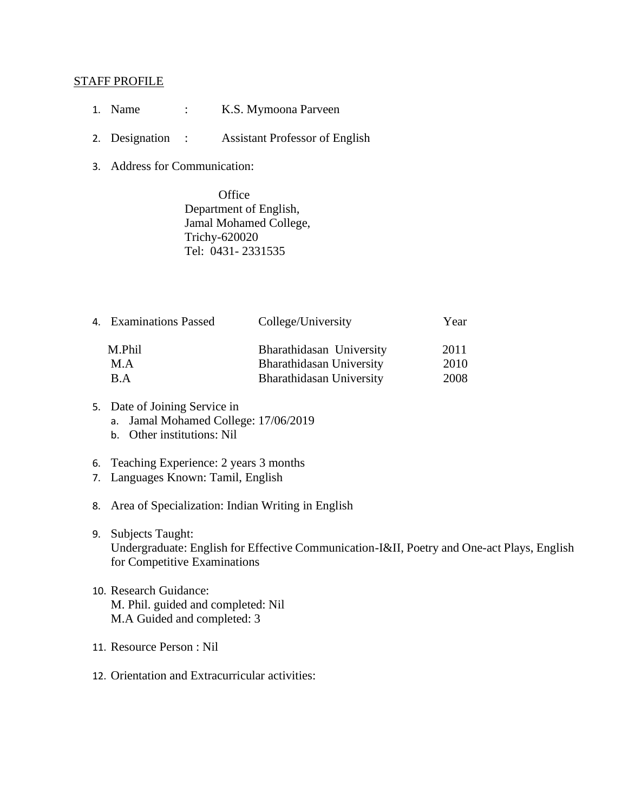## STAFF PROFILE

- 1. Name : K.S. Mymoona Parveen
- 2. Designation : Assistant Professor of English
- 3. Address for Communication:

**Office** Department of English, Jamal Mohamed College, Trichy-620020 Tel: 0431- 2331535

| 4. Examinations Passed | College/University       | Year |
|------------------------|--------------------------|------|
| M.Phil                 | Bharathidasan University | 2011 |
| M.A                    | Bharathidasan University | 2010 |
| B.A                    | Bharathidasan University | 2008 |

- 5. Date of Joining Service in
	- a. Jamal Mohamed College: 17/06/2019
	- b. Other institutions: Nil
- 6. Teaching Experience: 2 years 3 months
- 7. Languages Known: Tamil, English
- 8. Area of Specialization: Indian Writing in English
- 9. Subjects Taught: Undergraduate: English for Effective Communication-I&II, Poetry and One-act Plays, English for Competitive Examinations
- 10. Research Guidance: M. Phil. guided and completed: Nil M.A Guided and completed: 3
- 11. Resource Person : Nil
- 12. Orientation and Extracurricular activities: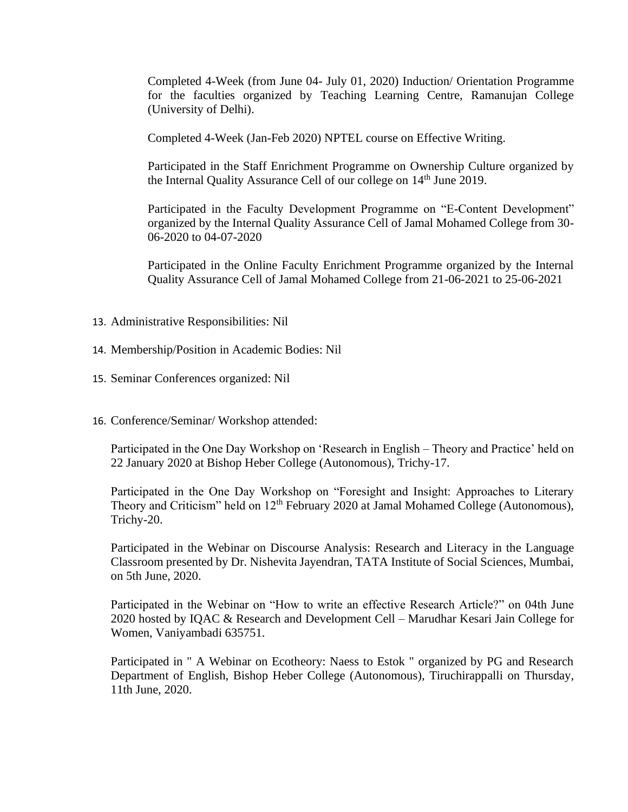Completed 4-Week (from June 04- July 01, 2020) Induction/ Orientation Programme for the faculties organized by Teaching Learning Centre, Ramanujan College (University of Delhi).

Completed 4-Week (Jan-Feb 2020) NPTEL course on Effective Writing.

Participated in the Staff Enrichment Programme on Ownership Culture organized by the Internal Quality Assurance Cell of our college on  $14<sup>th</sup>$  June 2019.

Participated in the Faculty Development Programme on "E-Content Development" organized by the Internal Quality Assurance Cell of Jamal Mohamed College from 30- 06-2020 to 04-07-2020

Participated in the Online Faculty Enrichment Programme organized by the Internal Quality Assurance Cell of Jamal Mohamed College from 21-06-2021 to 25-06-2021

- 13. Administrative Responsibilities: Nil
- 14. Membership/Position in Academic Bodies: Nil
- 15. Seminar Conferences organized: Nil
- 16. Conference/Seminar/ Workshop attended:

Participated in the One Day Workshop on 'Research in English – Theory and Practice' held on 22 January 2020 at Bishop Heber College (Autonomous), Trichy-17.

Participated in the One Day Workshop on "Foresight and Insight: Approaches to Literary Theory and Criticism" held on  $12<sup>th</sup>$  February 2020 at Jamal Mohamed College (Autonomous), Trichy-20.

Participated in the Webinar on Discourse Analysis: Research and Literacy in the Language Classroom presented by Dr. Nishevita Jayendran, TATA Institute of Social Sciences, Mumbai, on 5th June, 2020.

Participated in the Webinar on "How to write an effective Research Article?" on 04th June 2020 hosted by IQAC & Research and Development Cell – Marudhar Kesari Jain College for Women, Vaniyambadi 635751.

Participated in " A Webinar on Ecotheory: Naess to Estok " organized by PG and Research Department of English, Bishop Heber College (Autonomous), Tiruchirappalli on Thursday, 11th June, 2020.